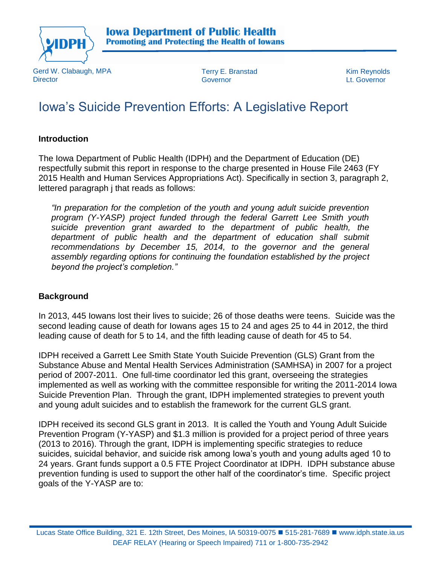

Gerd W. Clabaugh, MPA **Director** 

Terry E. Branstad Kim Reynolds Governor Lt. Governor

# Iowa's Suicide Prevention Efforts: A Legislative Report

## **Introduction**

The Iowa Department of Public Health (IDPH) and the Department of Education (DE) respectfully submit this report in response to the charge presented in House File 2463 (FY 2015 Health and Human Services Appropriations Act). Specifically in section 3, paragraph 2, lettered paragraph j that reads as follows:

*"In preparation for the completion of the youth and young adult suicide prevention program (Y-YASP) project funded through the federal Garrett Lee Smith youth suicide prevention grant awarded to the department of public health, the department of public health and the department of education shall submit recommendations by December 15, 2014, to the governor and the general assembly regarding options for continuing the foundation established by the project beyond the project's completion."*

## **Background**

In 2013, 445 Iowans lost their lives to suicide; 26 of those deaths were teens. Suicide was the second leading cause of death for Iowans ages 15 to 24 and ages 25 to 44 in 2012, the third leading cause of death for 5 to 14, and the fifth leading cause of death for 45 to 54.

IDPH received a Garrett Lee Smith State Youth Suicide Prevention (GLS) Grant from the Substance Abuse and Mental Health Services Administration (SAMHSA) in 2007 for a project period of 2007-2011. One full-time coordinator led this grant, overseeing the strategies implemented as well as working with the committee responsible for writing the 2011-2014 Iowa Suicide Prevention Plan. Through the grant, IDPH implemented strategies to prevent youth and young adult suicides and to establish the framework for the current GLS grant.

IDPH received its second GLS grant in 2013. It is called the Youth and Young Adult Suicide Prevention Program (Y-YASP) and \$1.3 million is provided for a project period of three years (2013 to 2016). Through the grant, IDPH is implementing specific strategies to reduce suicides, suicidal behavior, and suicide risk among Iowa's youth and young adults aged 10 to 24 years. Grant funds support a 0.5 FTE Project Coordinator at IDPH. IDPH substance abuse prevention funding is used to support the other half of the coordinator's time. Specific project goals of the Y-YASP are to: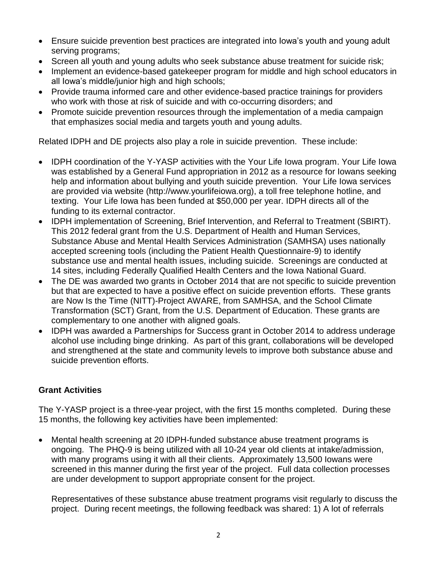- Ensure suicide prevention best practices are integrated into Iowa's youth and young adult serving programs;
- Screen all youth and young adults who seek substance abuse treatment for suicide risk;
- Implement an evidence-based gatekeeper program for middle and high school educators in all Iowa's middle/junior high and high schools;
- Provide trauma informed care and other evidence-based practice trainings for providers who work with those at risk of suicide and with co-occurring disorders; and
- Promote suicide prevention resources through the implementation of a media campaign that emphasizes social media and targets youth and young adults.

Related IDPH and DE projects also play a role in suicide prevention. These include:

- IDPH coordination of the Y-YASP activities with the Your Life Iowa program. Your Life Iowa was established by a General Fund appropriation in 2012 as a resource for Iowans seeking help and information about bullying and youth suicide prevention. Your Life Iowa services are provided via website (http://www.yourlifeiowa.org), a toll free telephone hotline, and texting. Your Life Iowa has been funded at \$50,000 per year. IDPH directs all of the funding to its external contractor.
- IDPH implementation of Screening, Brief Intervention, and Referral to Treatment (SBIRT). This 2012 federal grant from the U.S. Department of Health and Human Services, Substance Abuse and Mental Health Services Administration (SAMHSA) uses nationally accepted screening tools (including the Patient Health Questionnaire-9) to identify substance use and mental health issues, including suicide. Screenings are conducted at 14 sites, including Federally Qualified Health Centers and the Iowa National Guard.
- The DE was awarded two grants in October 2014 that are not specific to suicide prevention but that are expected to have a positive effect on suicide prevention efforts. These grants are Now Is the Time (NITT)-Project AWARE, from SAMHSA, and the School Climate Transformation (SCT) Grant, from the U.S. Department of Education. These grants are complementary to one another with aligned goals.
- IDPH was awarded a Partnerships for Success grant in October 2014 to address underage alcohol use including binge drinking. As part of this grant, collaborations will be developed and strengthened at the state and community levels to improve both substance abuse and suicide prevention efforts.

## **Grant Activities**

The Y-YASP project is a three-year project, with the first 15 months completed. During these 15 months, the following key activities have been implemented:

 Mental health screening at 20 IDPH-funded substance abuse treatment programs is ongoing. The PHQ-9 is being utilized with all 10-24 year old clients at intake/admission, with many programs using it with all their clients. Approximately 13,500 Iowans were screened in this manner during the first year of the project. Full data collection processes are under development to support appropriate consent for the project.

Representatives of these substance abuse treatment programs visit regularly to discuss the project. During recent meetings, the following feedback was shared: 1) A lot of referrals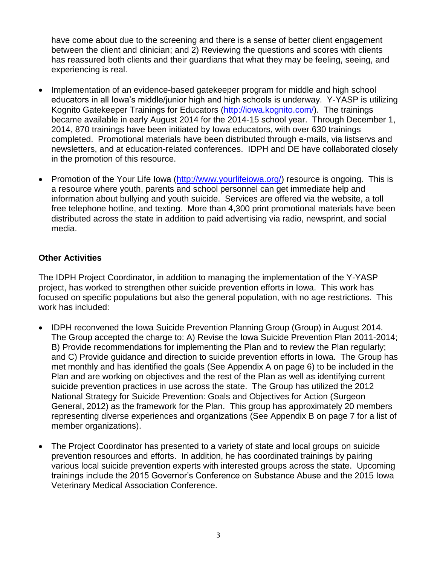have come about due to the screening and there is a sense of better client engagement between the client and clinician; and 2) Reviewing the questions and scores with clients has reassured both clients and their guardians that what they may be feeling, seeing, and experiencing is real.

- Implementation of an evidence-based gatekeeper program for middle and high school educators in all Iowa's middle/junior high and high schools is underway. Y-YASP is utilizing Kognito Gatekeeper Trainings for Educators [\(http://iowa.kognito.com/\)](http://iowa.kognito.com/). The trainings became available in early August 2014 for the 2014-15 school year. Through December 1, 2014, 870 trainings have been initiated by Iowa educators, with over 630 trainings completed. Promotional materials have been distributed through e-mails, via listservs and newsletters, and at education-related conferences. IDPH and DE have collaborated closely in the promotion of this resource.
- Promotion of the Your Life Iowa [\(http://www.yourlifeiowa.org/\)](http://www.yourlifeiowa.org/) resource is ongoing. This is a resource where youth, parents and school personnel can get immediate help and information about bullying and youth suicide. Services are offered via the website, a toll free telephone hotline, and texting. More than 4,300 print promotional materials have been distributed across the state in addition to paid advertising via radio, newsprint, and social media.

## **Other Activities**

The IDPH Project Coordinator, in addition to managing the implementation of the Y-YASP project, has worked to strengthen other suicide prevention efforts in Iowa. This work has focused on specific populations but also the general population, with no age restrictions. This work has included:

- IDPH reconvened the Iowa Suicide Prevention Planning Group (Group) in August 2014. The Group accepted the charge to: A) Revise the Iowa Suicide Prevention Plan 2011-2014; B) Provide recommendations for implementing the Plan and to review the Plan regularly; and C) Provide guidance and direction to suicide prevention efforts in Iowa. The Group has met monthly and has identified the goals (See Appendix A on page 6) to be included in the Plan and are working on objectives and the rest of the Plan as well as identifying current suicide prevention practices in use across the state. The Group has utilized the 2012 National Strategy for Suicide Prevention: Goals and Objectives for Action (Surgeon General, 2012) as the framework for the Plan. This group has approximately 20 members representing diverse experiences and organizations (See Appendix B on page 7 for a list of member organizations).
- The Project Coordinator has presented to a variety of state and local groups on suicide prevention resources and efforts. In addition, he has coordinated trainings by pairing various local suicide prevention experts with interested groups across the state. Upcoming trainings include the 2015 Governor's Conference on Substance Abuse and the 2015 Iowa Veterinary Medical Association Conference.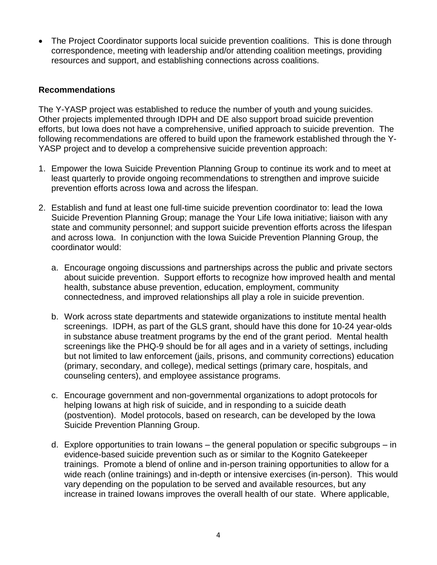The Project Coordinator supports local suicide prevention coalitions. This is done through correspondence, meeting with leadership and/or attending coalition meetings, providing resources and support, and establishing connections across coalitions.

#### **Recommendations**

The Y-YASP project was established to reduce the number of youth and young suicides. Other projects implemented through IDPH and DE also support broad suicide prevention efforts, but Iowa does not have a comprehensive, unified approach to suicide prevention. The following recommendations are offered to build upon the framework established through the Y-YASP project and to develop a comprehensive suicide prevention approach:

- 1. Empower the Iowa Suicide Prevention Planning Group to continue its work and to meet at least quarterly to provide ongoing recommendations to strengthen and improve suicide prevention efforts across Iowa and across the lifespan.
- 2. Establish and fund at least one full-time suicide prevention coordinator to: lead the Iowa Suicide Prevention Planning Group; manage the Your Life Iowa initiative; liaison with any state and community personnel; and support suicide prevention efforts across the lifespan and across Iowa. In conjunction with the Iowa Suicide Prevention Planning Group, the coordinator would:
	- a. Encourage ongoing discussions and partnerships across the public and private sectors about suicide prevention. Support efforts to recognize how improved health and mental health, substance abuse prevention, education, employment, community connectedness, and improved relationships all play a role in suicide prevention.
	- b. Work across state departments and statewide organizations to institute mental health screenings. IDPH, as part of the GLS grant, should have this done for 10-24 year-olds in substance abuse treatment programs by the end of the grant period. Mental health screenings like the PHQ-9 should be for all ages and in a variety of settings, including but not limited to law enforcement (jails, prisons, and community corrections) education (primary, secondary, and college), medical settings (primary care, hospitals, and counseling centers), and employee assistance programs.
	- c. Encourage government and non-governmental organizations to adopt protocols for helping Iowans at high risk of suicide, and in responding to a suicide death (postvention). Model protocols, based on research, can be developed by the Iowa Suicide Prevention Planning Group.
	- d. Explore opportunities to train Iowans the general population or specific subgroups in evidence-based suicide prevention such as or similar to the Kognito Gatekeeper trainings. Promote a blend of online and in-person training opportunities to allow for a wide reach (online trainings) and in-depth or intensive exercises (in-person). This would vary depending on the population to be served and available resources, but any increase in trained Iowans improves the overall health of our state. Where applicable,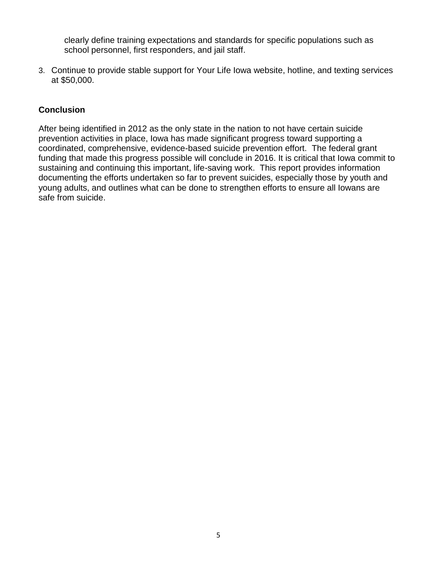clearly define training expectations and standards for specific populations such as school personnel, first responders, and jail staff.

3. Continue to provide stable support for Your Life Iowa website, hotline, and texting services at \$50,000.

## **Conclusion**

After being identified in 2012 as the only state in the nation to not have certain suicide prevention activities in place, Iowa has made significant progress toward supporting a coordinated, comprehensive, evidence-based suicide prevention effort. The federal grant funding that made this progress possible will conclude in 2016. It is critical that Iowa commit to sustaining and continuing this important, life-saving work. This report provides information documenting the efforts undertaken so far to prevent suicides, especially those by youth and young adults, and outlines what can be done to strengthen efforts to ensure all Iowans are safe from suicide.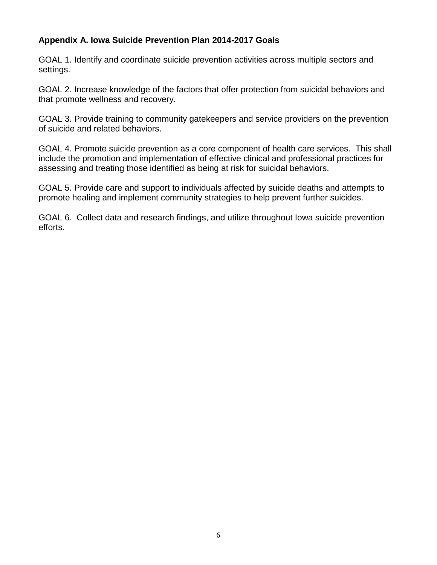## **Appendix A. Iowa Suicide Prevention Plan 2014-2017 Goals**

GOAL 1. Identify and coordinate suicide prevention activities across multiple sectors and settings.

GOAL 2. Increase knowledge of the factors that offer protection from suicidal behaviors and that promote wellness and recovery.

GOAL 3. Provide training to community gatekeepers and service providers on the prevention of suicide and related behaviors.

GOAL 4. Promote suicide prevention as a core component of health care services. This shall include the promotion and implementation of effective clinical and professional practices for assessing and treating those identified as being at risk for suicidal behaviors.

GOAL 5. Provide care and support to individuals affected by suicide deaths and attempts to promote healing and implement community strategies to help prevent further suicides.

GOAL 6. Collect data and research findings, and utilize throughout Iowa suicide prevention efforts.